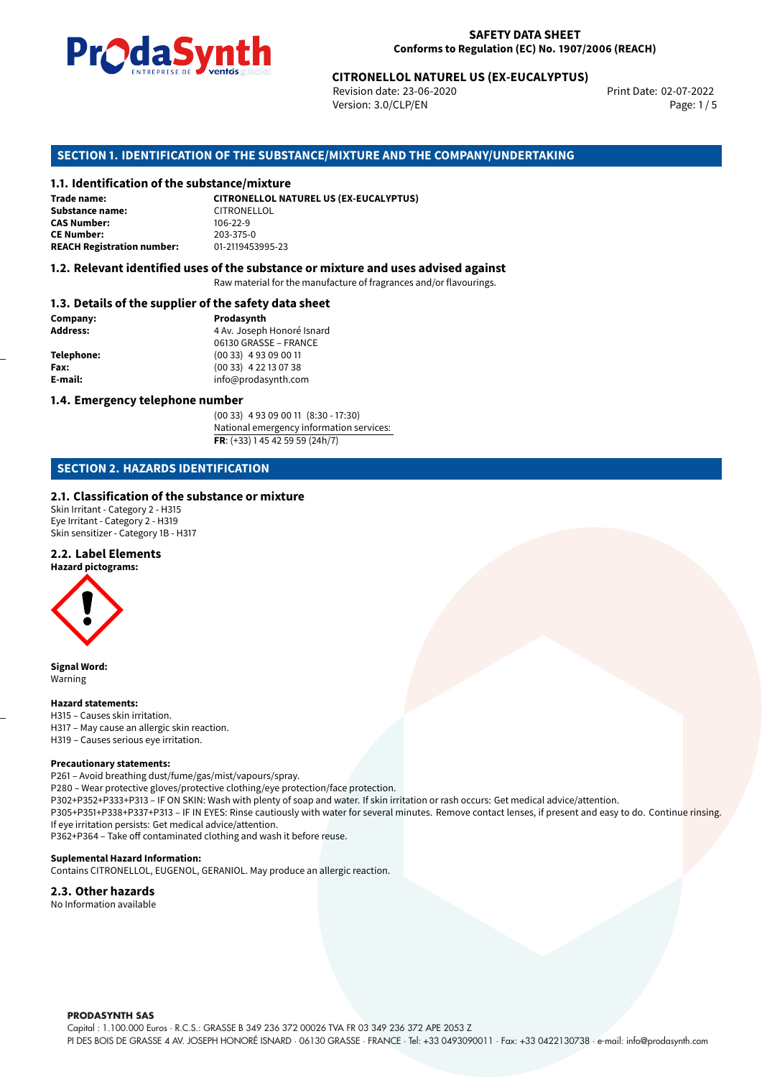

Revision date: 23-06-2020 Version: 3.0/CLP/EN Page: 1 / 5

Print Date: 02-07-2022

# **CITRONELLOL NATUREL US (EX-EUCALYPTUS)**<br>
Revision date: 23-06-2020<br>
Version: 3.0/CLP/EN<br> **OF THE SUBSTANCE/MIXTURE AND THE COMPANY/UNDERTAKING**<br> **CITRONELLOL NATUREL US (EX-EUCALYPTUS) SECTION 1. IDENTIFICATION OF THE SUBSTANCE/MIXTURE AND THE COMPANY/UNDERTAKING**

#### **1.1. Identification of the substance/mixture**

| Trade name:                       | <b>CITRONELLOL NATUREL US (EX-EUCALYPTUS)</b> |
|-----------------------------------|-----------------------------------------------|
| <b>Substance name:</b>            | CITRONELLOL                                   |
| <b>CAS Number:</b>                | $106-22-9$                                    |
| <b>CE Number:</b>                 | 203-375-0                                     |
| <b>REACH Registration number:</b> | 01-2119453995-23                              |

#### **1.2. Relevant identified uses of the substance or mixture and uses advised against**

Raw material for the manufacture of fragrances and/or flavourings.

#### **1.3. Details of the supplier of the safety data sheet**

| Company:        | Prodasynth                 |
|-----------------|----------------------------|
| <b>Address:</b> | 4 Av. Joseph Honoré Isnard |
|                 | 06130 GRASSE - FRANCE      |
| Telephone:      | $(0033)$ 4 93 09 00 11     |
| Fax:            | (00 33) 4 22 13 07 38      |
| E-mail:         | info@prodasynth.com        |
|                 |                            |

#### **1.4. Emergency telephone number**

(00 33) 4 93 09 00 11 (8:30 - 17:30) National emergency information services: **FR**: (+33) 1 45 42 59 59 (24h/7)

#### **SECTION 2. HAZARDS IDENTIFICATION**

#### **2.1. Classification of the substance or mixture**

Skin Irritant - Category 2 - H315 Eye Irritant - Category 2 - H319 Skin sensitizer - Category 1B - H317

## **2.2. Label Elements**

**Hazard pictograms:**



**Signal Word:** Warning

#### **Hazard statements:**

H315 – Causes skin irritation. H317 – May cause an allergic skin reaction. H319 – Causes serious eye irritation.

#### **Precautionary statements:**

P261 – Avoid breathing dust/fume/gas/mist/vapours/spray. P280 – Wear protective gloves/protective clothing/eye protection/face protection. P302+P352+P333+P313 – IF ON SKIN: Wash with plenty of soap and water. If skin irritation or rash occurs: Get medical advice/attention. P305+P351+P338+P337+P313 – IF IN EYES: Rinse cautiously with water for several minutes. Remove contact lenses, if present and easy to do. Continue rinsing. If eye irritation persists: Get medical advice/attention.

P362+P364 – Take off contaminated clothing and wash it before reuse.

#### **Suplemental Hazard Information:**

Contains CITRONELLOL, EUGENOL, GERANIOL. May produce an allergic reaction.

#### **2.3. Other hazards**

No Information available

**PRODASYNTH SAS** 

Capital : 1.100.000 Euros · R.C.S.: GRASSE B 349 236 372 00026 TVA FR 03 349 236 372 APE 2053 Z

PI DES BOIS DE GRASSE 4 AV. JOSEPH HONORÉ ISNARD · 06130 GRASSE · FRANCE · Tel: +33 0493090011 · Fax: +33 0422130738 · e-mail: info@prodasynth.com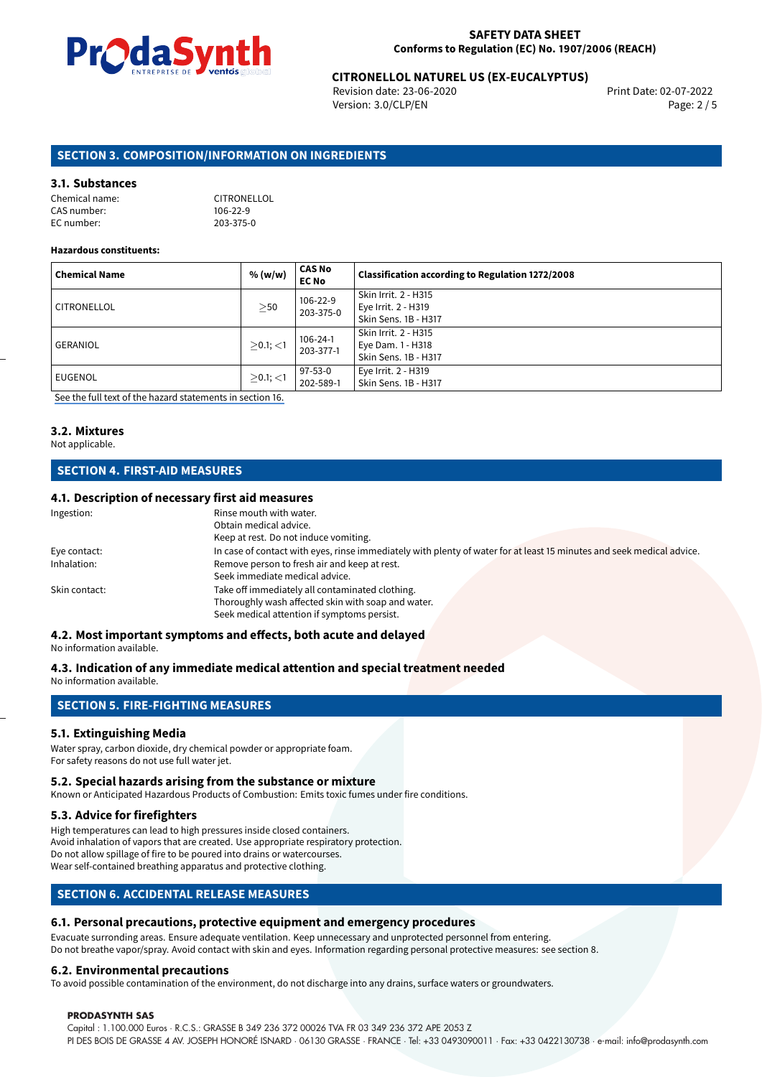

# **CITRONELLOL NATUREL US (EX-EUCALYPTUS)**<br>Revision date: 23-06-2020<br>Print Date: 02-07-2022

Revision date: 23-06-2020 Version: 3.0/CLP/EN Page: 2 / 5

#### **SECTION 3. COMPOSITION/INFORMATION ON INGREDIENTS**

#### **3.1. Substances**

| Chemical name: | CITRONELLOL    |
|----------------|----------------|
| CAS number:    | $106 - 22 - 9$ |
| EC number:     | 203-375-0      |

#### **Hazardous constituents:**

| <b>Chemical Name</b> | % (w/w)        | <b>CAS No</b><br><b>EC No</b> | Classification according to Regulation 1272/2008                    |
|----------------------|----------------|-------------------------------|---------------------------------------------------------------------|
| CITRONELLOL          | $\geq$ 50      | 106-22-9<br>203-375-0         | Skin Irrit. 2 - H315<br>Eye Irrit. 2 - H319<br>Skin Sens. 1B - H317 |
| <b>GERANIOL</b>      | $>0.1$ ; $<$ 1 | $106 - 24 - 1$<br>203-377-1   | Skin Irrit. 2 - H315<br>Eye Dam. 1 - H318<br>Skin Sens. 1B - H317   |
| EUGENOL              | $\geq$ 0.1; <1 | 97-53-0<br>202-589-1          | Eye Irrit. 2 - H319<br>Skin Sens. 1B - H317                         |

[See the full text of the hazard statements in section 16.](#page-4-0)

## **3.2. Mixtures**

## Not applicable.

### **SECTION 4. FIRST-AID MEASURES**

#### **4.1. Description of necessary first aid measures**

| Ingestion:    | Rinse mouth with water.                                                                                               |
|---------------|-----------------------------------------------------------------------------------------------------------------------|
|               | Obtain medical advice.                                                                                                |
|               | Keep at rest. Do not induce vomiting.                                                                                 |
| Eye contact:  | In case of contact with eyes, rinse immediately with plenty of water for at least 15 minutes and seek medical advice. |
| Inhalation:   | Remove person to fresh air and keep at rest.                                                                          |
|               | Seek immediate medical advice.                                                                                        |
| Skin contact: | Take off immediately all contaminated clothing.                                                                       |
|               | Thoroughly wash affected skin with soap and water.                                                                    |
|               | Seek medical attention if symptoms persist.                                                                           |

## **4.2. Most important symptoms and effects, both acute and delayed**

No information available.

#### **4.3. Indication of any immediate medical attention and special treatment needed**

No information available.

#### **SECTION 5. FIRE-FIGHTING MEASURES**

#### **5.1. Extinguishing Media**

Water spray, carbon dioxide, dry chemical powder or appropriate foam. For safety reasons do not use full water jet.

#### **5.2. Special hazards arising from the substance or mixture**

Known or Anticipated Hazardous Products of Combustion: Emits toxic fumes under fire conditions.

#### **5.3. Advice for firefighters**

High temperatures can lead to high pressures inside closed containers. Avoid inhalation of vapors that are created. Use appropriate respiratory protection. Do not allow spillage of fire to be poured into drains or watercourses. Wear self-contained breathing apparatus and protective clothing.

#### **SECTION 6. ACCIDENTAL RELEASE MEASURES**

#### **6.1. Personal precautions, protective equipment and emergency procedures**

Evacuate surronding areas. Ensure adequate ventilation. Keep unnecessary and unprotected personnel from entering. Do not breathe vapor/spray. Avoid contact with skin and eyes. Information regarding personal protective measures: see section 8.

#### **6.2. Environmental precautions**

To avoid possible contamination of the environment, do not discharge into any drains, surface waters or groundwaters.

#### **PRODASYNTH SAS**

Capital : 1.100.000 Euros · R.C.S.: GRASSE B 349 236 372 00026 TVA FR 03 349 236 372 APE 2053 Z PI DES BOIS DE GRASSE 4 AV. JOSEPH HONORÉ ISNARD · 06130 GRASSE · FRANCE · Tel: +33 0493090011 · Fax: +33 0422130738 · e-mail: info@prodasynth.com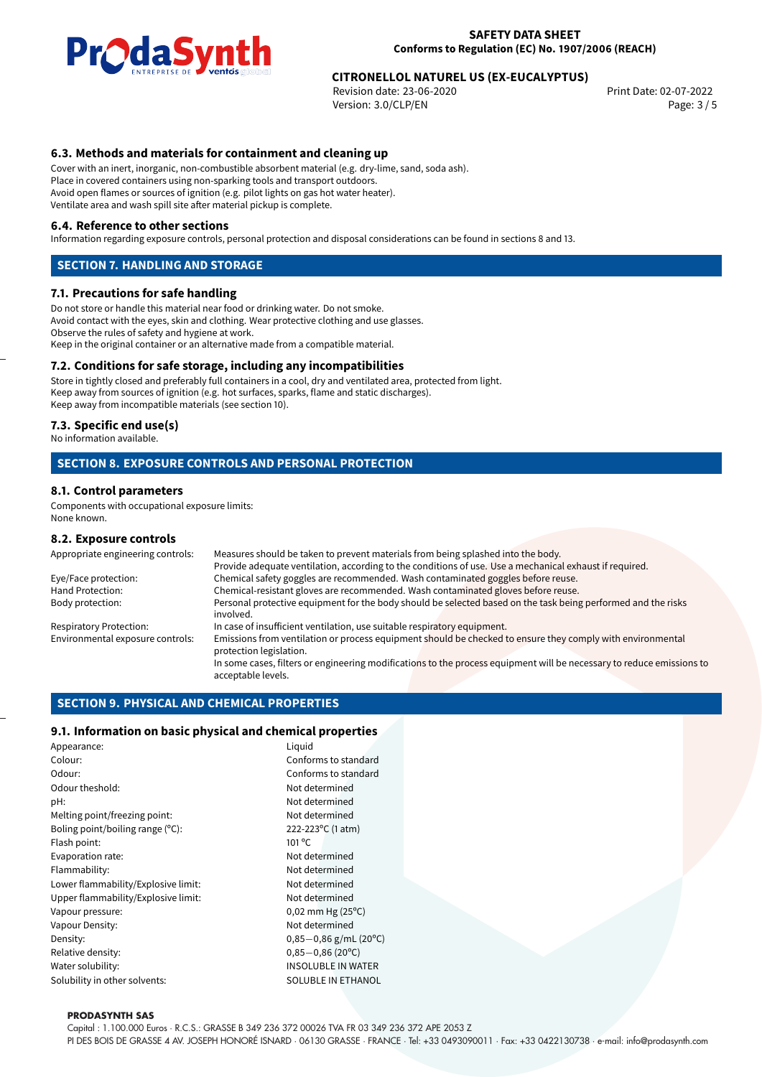

# **CITRONELLOL NATUREL US (EX-EUCALYPTUS)**<br>Revision date: 23-06-2020<br>Print Date: 02-07-2022

Revision date: 23-06-2020 Version: 3.0/CLP/EN Page: 3 / 5

#### **6.3. Methods and materials for containment and cleaning up**

Cover with an inert, inorganic, non-combustible absorbent material (e.g. dry-lime, sand, soda ash). Place in covered containers using non-sparking tools and transport outdoors. Avoid open flames or sources of ignition (e.g. pilot lights on gas hot water heater). Ventilate area and wash spill site after material pickup is complete.

#### **6.4. Reference to other sections**

Information regarding exposure controls, personal protection and disposal considerations can be found in sections 8 and 13.

#### **SECTION 7. HANDLING AND STORAGE**

#### **7.1. Precautions for safe handling**

Do not store or handle this material near food or drinking water. Do not smoke. Avoid contact with the eyes, skin and clothing. Wear protective clothing and use glasses. Observe the rules of safety and hygiene at work. Keep in the original container or an alternative made from a compatible material.

#### **7.2. Conditions for safe storage, including any incompatibilities**

Store in tightly closed and preferably full containers in a cool, dry and ventilated area, protected from light. Keep away from sources of ignition (e.g. hot surfaces, sparks, flame and static discharges). Keep away from incompatible materials (see section 10).

#### **7.3. Specific end use(s)**

No information available.

#### **SECTION 8. EXPOSURE CONTROLS AND PERSONAL PROTECTION**

#### **8.1. Control parameters**

Components with occupational exposure limits: None known.

#### **8.2. Exposure controls**

| Appropriate engineering controls: | Measures should be taken to prevent materials from being splashed into the body.                                                            |  |  |
|-----------------------------------|---------------------------------------------------------------------------------------------------------------------------------------------|--|--|
|                                   | Provide adequate ventilation, according to the conditions of use. Use a mechanical exhaust if required.                                     |  |  |
| Eye/Face protection:              | Chemical safety goggles are recommended. Wash contaminated goggles before reuse.                                                            |  |  |
| Hand Protection:                  | Chemical-resistant gloves are recommended. Wash contaminated gloves before reuse.                                                           |  |  |
| Body protection:                  | Personal protective equipment for the body should be selected based on the task being performed and the risks<br>involved.                  |  |  |
| Respiratory Protection:           | In case of insufficient ventilation, use suitable respiratory equipment.                                                                    |  |  |
| Environmental exposure controls:  | Emissions from ventilation or process equipment should be checked to ensure they comply with environmental<br>protection legislation.       |  |  |
|                                   | In some cases, filters or engineering modifications to the process equipment will be necessary to reduce emissions to<br>acceptable levels. |  |  |
|                                   |                                                                                                                                             |  |  |

#### **SECTION 9. PHYSICAL AND CHEMICAL PROPERTIES**

#### **9.1. Information on basic physical and chemical properties**

| Appearance:                         | Liguid             |
|-------------------------------------|--------------------|
| Colour:                             | Confo              |
| Odour:                              | Confo              |
| Odour theshold:                     | Not de             |
| pH:                                 | Not de             |
| Melting point/freezing point:       | Not de             |
| Boling point/boiling range (°C):    | 222-22             |
| Flash point:                        | $101^{\circ}$ C    |
| Evaporation rate:                   | Not de             |
| Flammability:                       | Not de             |
| Lower flammability/Explosive limit: | Not de             |
| Upper flammability/Explosive limit: | Not de             |
| Vapour pressure:                    | $0,02 \; \text{m}$ |
| Vapour Density:                     | Not de             |
| Density:                            | $0,85 -$           |
| Relative density:                   | $0,85 -$           |
| Water solubility:                   | INSOL              |
| Solubility in other solvents:       | <b>SOLUE</b>       |

Conforms to standard Conforms to standard Not determined Not determined Not determined 222-223°C (1 atm) Not determined Not determined Not determined Not determined  $0,02$  mm Hg (25 $\degree$ C) Not determined Density: 0,85*−*0,86 g/mL (20ºC) Relative density: 0,85*−*0,86 (20ºC) **INSOLUBLE IN WATER** SOLUBLE IN ETHANOL

#### **PRODASYNTH SAS**

Capital : 1.100.000 Euros · R.C.S.: GRASSE B 349 236 372 00026 TVA FR 03 349 236 372 APE 2053 Z

PI DES BOIS DE GRASSE 4 AV. JOSEPH HONORÉ ISNARD · 06130 GRASSE · FRANCE · Tel: +33 0493090011 · Fax: +33 0422130738 · e-mail: info@prodasynth.com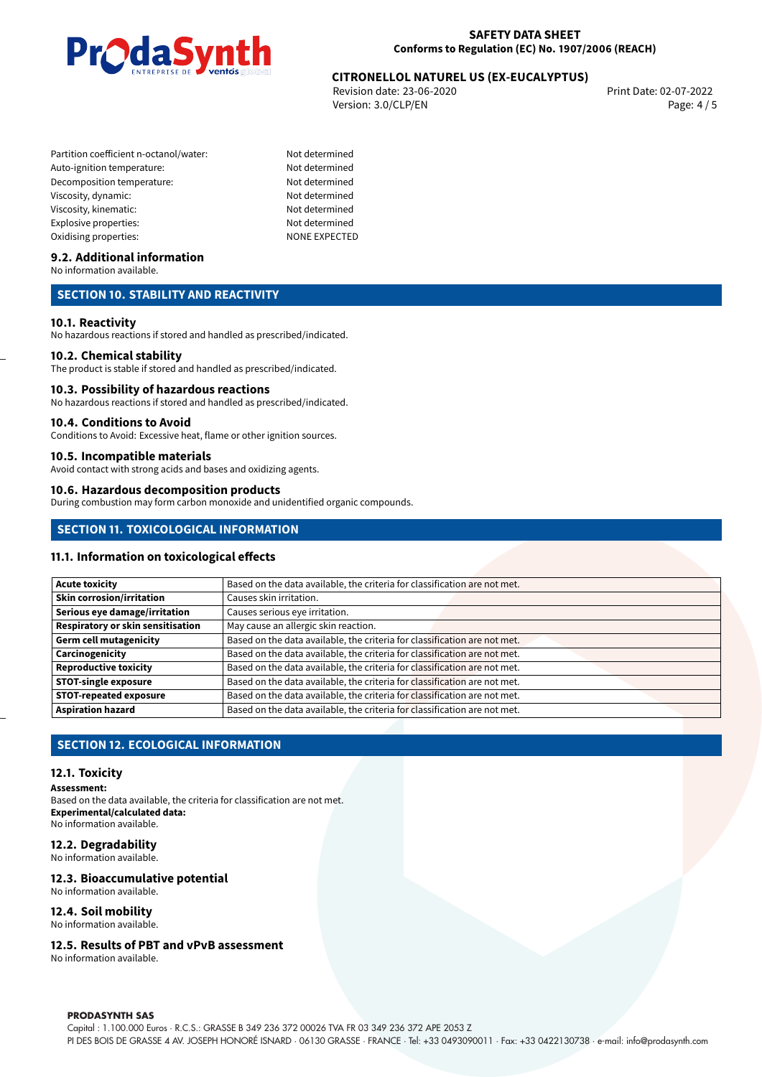

# **CITRONELLOL NATUREL US (EX-EUCALYPTUS)**<br>Revision date: 23-06-2020<br>Print Date: 02-07-2022

Revision date: 23-06-2020 Version: 3.0/CLP/EN Page: 4 / 5

- Partition coefficient n-octanol/water: Not determined Auto-ignition temperature: Not determined Decomposition temperature: Not determined Viscosity, dynamic: Not determined Viscosity, kinematic: Not determined Explosive properties: Not determined Oxidising properties: NONE EXPECTED
	-

#### **9.2. Additional information**

No information available.

#### **SECTION 10. STABILITY AND REACTIVITY**

#### **10.1. Reactivity**

No hazardous reactions if stored and handled as prescribed/indicated.

#### **10.2. Chemical stability**

The product is stable if stored and handled as prescribed/indicated.

#### **10.3. Possibility of hazardous reactions**

No hazardous reactions if stored and handled as prescribed/indicated.

#### **10.4. Conditions to Avoid**

Conditions to Avoid: Excessive heat, flame or other ignition sources.

#### **10.5. Incompatible materials**

Avoid contact with strong acids and bases and oxidizing agents.

#### **10.6. Hazardous decomposition products**

During combustion may form carbon monoxide and unidentified organic compounds.

#### **SECTION 11. TOXICOLOGICAL INFORMATION**

#### **11.1. Information on toxicological effects**

| <b>Acute toxicity</b>                    | Based on the data available, the criteria for classification are not met. |
|------------------------------------------|---------------------------------------------------------------------------|
| <b>Skin corrosion/irritation</b>         | Causes skin irritation.                                                   |
| Serious eye damage/irritation            | Causes serious eye irritation.                                            |
| <b>Respiratory or skin sensitisation</b> | May cause an allergic skin reaction.                                      |
| <b>Germ cell mutagenicity</b>            | Based on the data available, the criteria for classification are not met. |
| Carcinogenicity                          | Based on the data available, the criteria for classification are not met. |
| <b>Reproductive toxicity</b>             | Based on the data available, the criteria for classification are not met. |
| <b>STOT-single exposure</b>              | Based on the data available, the criteria for classification are not met. |
| <b>STOT-repeated exposure</b>            | Based on the data available, the criteria for classification are not met. |
| <b>Aspiration hazard</b>                 | Based on the data available, the criteria for classification are not met. |

#### **SECTION 12. ECOLOGICAL INFORMATION**

#### **12.1. Toxicity**

#### **Assessment:**

Based on the data available, the criteria for classification are not met. **Experimental/calculated data:** No information available.

#### **12.2. Degradability**

No information available.

#### **12.3. Bioaccumulative potential**

No information available.

#### **12.4. Soil mobility**

No information available.

#### **12.5. Results of PBT and vPvB assessment**

No information available.

#### **PRODASYNTH SAS**

Capital : 1.100.000 Euros · R.C.S.: GRASSE B 349 236 372 00026 TVA FR 03 349 236 372 APE 2053 Z PI DES BOIS DE GRASSE 4 AV. JOSEPH HONORÉ ISNARD · 06130 GRASSE · FRANCE · Tel: +33 0493090011 · Fax: +33 0422130738 · e-mail: info@prodasynth.com